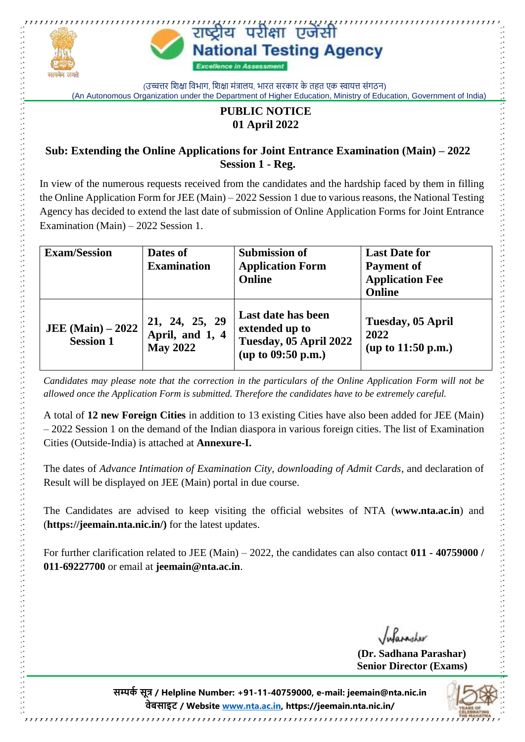

(उच्चत्तर शिक्षा विभाग, शिक्षा मंत्रालय, भारत सरकार के तहत एक स्वायत्त संगठन) (An Autonomous Organization under the Department of Higher Education, Ministry of Education, Government of India)

## **PUBLIC NOTICE 01 April 2022**

### **Sub: Extending the Online Applications for Joint Entrance Examination (Main) – 2022 Session 1 - Reg.**

In view of the numerous requests received from the candidates and the hardship faced by them in filling the Online Application Form for JEE (Main) – 2022 Session 1 due to various reasons, the National Testing Agency has decided to extend the last date of submission of Online Application Forms for Joint Entrance Examination (Main) – 2022 Session 1.

| <b>Exam/Session</b>                    | Dates of                                             | <b>Submission of</b>                                                                   | <b>Last Date for</b>                          |
|----------------------------------------|------------------------------------------------------|----------------------------------------------------------------------------------------|-----------------------------------------------|
|                                        | <b>Examination</b>                                   | <b>Application Form</b>                                                                | <b>Payment of</b>                             |
|                                        |                                                      | <b>Online</b>                                                                          | <b>Application Fee</b>                        |
|                                        |                                                      |                                                                                        | <b>Online</b>                                 |
| JEE (Main) $-2022$<br><b>Session 1</b> | 21, 24, 25, 29<br>April, and 1, 4<br><b>May 2022</b> | Last date has been<br>extended up to<br>Tuesday, 05 April 2022<br>(up to $09:50$ p.m.) | Tuesday, 05 April<br>2022<br>up to 11:50 p.m. |

*Candidates may please note that the correction in the particulars of the Online Application Form will not be allowed once the Application Form is submitted. Therefore the candidates have to be extremely careful.*

A total of **12 new Foreign Cities** in addition to 13 existing Cities have also been added for JEE (Main) – 2022 Session 1 on the demand of the Indian diaspora in various foreign cities. The list of Examination Cities (Outside-India) is attached at **Annexure-I.**

The dates of *Advance Intimation of Examination City, downloading of Admit Cards*, and declaration of Result will be displayed on JEE (Main) portal in due course.

The Candidates are advised to keep visiting the official websites of NTA (**www.nta.ac.in**) and (**https://jeemain.nta.nic.in/)** for the latest updates.

For further clarification related to JEE (Main) – 2022, the candidates can also contact **011 - 40759000 / 011-69227700** or email at **[jeemain@nta.ac.in](mailto:jeemain@nta.ac.in)**.

Informator

**(Dr. Sadhana Parashar) Senior Director (Exams)**

**सम्पर्क सूत्र / Helpline Number: +91-11-40759000, e-mail: jeemain@nta.nic.in वेबसाइट / Website [www.nta.ac.in,](http://www.nta.ac.in/) https://jeemain.nta.nic.in/**

,,,,,,,,,,,,,,,,,,,,,,,,,,,,,,,,,,,,,